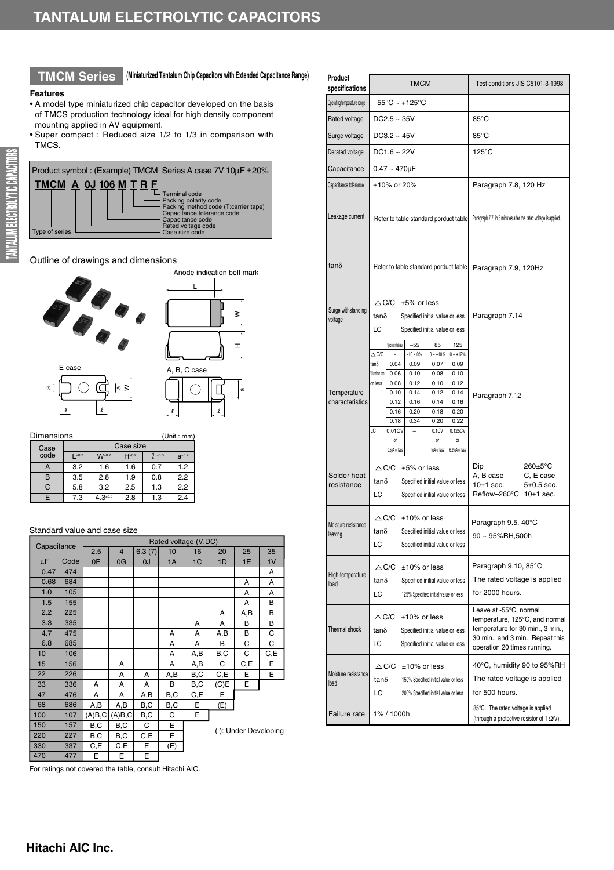## **TMCM Series (Miniaturized Tantalum Chip Capacitors with Extended Capacitance Range)**

### **Features**

- A model type miniaturized chip capacitor developed on the basis of TMCS production technology ideal for high density component mounting applied in AV equipment.
- Super compact : Reduced size 1/2 to 1/3 in comparison with TMCS.



L

 $\bigcirc$ 

a

H≥<br>=<br>±

 $\geq$ 

## Outline of drawings and dimensions



| Dimensions<br>(Unit : mm) |           |               |              |           |               |  |  |  |  |  |
|---------------------------|-----------|---------------|--------------|-----------|---------------|--|--|--|--|--|
| Case                      | Case size |               |              |           |               |  |  |  |  |  |
| code                      | $\pm 0.2$ | $W^{\pm 0.2}$ | $H^{\pm0.2}$ | $0 + 0.3$ | $a^{\pm 0.2}$ |  |  |  |  |  |
| А                         | 3.2       | 1.6           | 1.6          | 0.7       | 1.2           |  |  |  |  |  |
| B                         | 3.5       | 2.8           | 1.9          | 0.8       | 2.2           |  |  |  |  |  |
| C                         | 5.8       | 3.2           | 2.5          | 1.3       | 2.2           |  |  |  |  |  |
| F                         | 7.3       | $4.3*0.3$     | 2.8          | 1.3       | 2.4           |  |  |  |  |  |

### Standard value and case size

| Capacitance |      | Rated voltage (V.DC) |                |        |     |     |      |     |                      |  |  |  |
|-------------|------|----------------------|----------------|--------|-----|-----|------|-----|----------------------|--|--|--|
|             |      |                      | $\overline{4}$ | 6.3(7) | 10  | 16  | 20   | 25  | 35                   |  |  |  |
| μF          | Code | 0E                   | 0G             | 0J     | 1A  | 1C  | 1D   | 1E  | 1V                   |  |  |  |
| 0.47        | 474  |                      |                |        |     |     |      |     | A                    |  |  |  |
| 0.68        | 684  |                      |                |        |     |     |      | Α   | А                    |  |  |  |
| 1.0         | 105  |                      |                |        |     |     |      | A   | A                    |  |  |  |
| 1.5         | 155  |                      |                |        |     |     |      | А   | в                    |  |  |  |
| 2.2         | 225  |                      |                |        |     |     | A    | A,B | В                    |  |  |  |
| 3.3         | 335  |                      |                |        |     | A   | A    | в   | в                    |  |  |  |
| 4.7         | 475  |                      |                |        | А   | А   | A,B  | B   | С                    |  |  |  |
| 6.8         | 685  |                      |                |        | А   | А   | B    | C   | С                    |  |  |  |
| 10          | 106  |                      |                |        | А   | A,B | B,C  | С   | C,E                  |  |  |  |
| 15          | 156  |                      | A              |        | A   | A,B | C    | C,E | E                    |  |  |  |
| 22          | 226  |                      | A              | A      | A,B | B,C | C,E  | E   | E                    |  |  |  |
| 33          | 336  | A                    | A              | A      | B   | B,C | (C)E | E   |                      |  |  |  |
| 47          | 476  | A                    | A              | A,B    | B,C | C,E | E    |     |                      |  |  |  |
| 68          | 686  | A,B                  | A,B            | B,C    | B,C | Е   | (E)  |     |                      |  |  |  |
| 100         | 107  | (A)B,C               | (A)B,C         | B,C    | C   | E   |      |     |                      |  |  |  |
| 150         | 157  | B,C                  | B,C            | C      | E   |     |      |     | (): Under Developing |  |  |  |
| 220         | 227  | B,C                  | B,C            | C,E    | E   |     |      |     |                      |  |  |  |
| 330         | 337  | C,E                  | C,E            | E      | (E) |     |      |     |                      |  |  |  |
| 470         | 477  | E                    | E              | E      |     |     |      |     |                      |  |  |  |

| Product<br>specifications      |                                                                                                                                                                                           | <b>TMCM</b>                                                                                     |                                                                                                        |                                                                                                              | Test conditions JIS C5101-3-1998                                                                                                                               |                |  |  |
|--------------------------------|-------------------------------------------------------------------------------------------------------------------------------------------------------------------------------------------|-------------------------------------------------------------------------------------------------|--------------------------------------------------------------------------------------------------------|--------------------------------------------------------------------------------------------------------------|----------------------------------------------------------------------------------------------------------------------------------------------------------------|----------------|--|--|
| Operating temperature range    |                                                                                                                                                                                           | $-55^{\circ}$ C ~ +125 $^{\circ}$ C                                                             |                                                                                                        |                                                                                                              |                                                                                                                                                                |                |  |  |
| Rated voltage                  | $DC2.5 - 35V$                                                                                                                                                                             |                                                                                                 |                                                                                                        |                                                                                                              | $85^{\circ}$ C                                                                                                                                                 |                |  |  |
| Surge voltage                  | $DC3.2 \sim 45V$                                                                                                                                                                          |                                                                                                 |                                                                                                        |                                                                                                              | $85^{\circ}$ C                                                                                                                                                 |                |  |  |
| Derated voltage                | DC1.6 ~ 22V                                                                                                                                                                               |                                                                                                 |                                                                                                        |                                                                                                              | 125°C                                                                                                                                                          |                |  |  |
| Capacitance                    | $0.47 - 470 \mu F$                                                                                                                                                                        |                                                                                                 |                                                                                                        |                                                                                                              |                                                                                                                                                                |                |  |  |
| Capacitance tolerance          | ±10% or 20%                                                                                                                                                                               |                                                                                                 |                                                                                                        |                                                                                                              | Paragraph 7.8, 120 Hz                                                                                                                                          |                |  |  |
| Leakage current                |                                                                                                                                                                                           | Refer to table standard porduct table                                                           |                                                                                                        |                                                                                                              | Paragraph 7.7, in 5 minutes after the rated voltage is applied.                                                                                                |                |  |  |
| $tan\delta$                    |                                                                                                                                                                                           | Refer to table standard porduct table                                                           |                                                                                                        |                                                                                                              | Paragraph 7.9, 120Hz                                                                                                                                           |                |  |  |
| Surge withstanding<br>voltage  | $\triangle$ C/C<br>$tan\delta$<br>LC                                                                                                                                                      | $±5\%$ or less<br>Specified initial value or less<br>Specified initial value or less            |                                                                                                        |                                                                                                              | Paragraph 7.14                                                                                                                                                 |                |  |  |
| Temperature<br>characteristics | Specified initial value<br>$\triangle$ C/C<br>tan $\delta$<br>0.04<br>Value shown table<br>0.06<br>0.08<br>or less<br>0.10<br>0.12<br>0.16<br>0.18<br>LC<br>0.01CV<br>or<br>0.5µA or less | $-55$<br>$-10 - 0\%$<br>0.09<br>0.10<br>0.12<br>0.14<br>0.16<br>0.20<br>0.34                    | 85<br>$0 - +10%$<br>0.07<br>0.08<br>0.10<br>0.12<br>0.14<br>0.18<br>0.20<br>0.1CV<br>or<br>5µA or less | 125<br>$0 - +12%$<br>0.09<br>0.10<br>0.12<br>0.14<br>0.16<br>0.20<br>0.22<br>0.125CV<br>0ľ<br>6.25µA or less | Paragraph 7.12                                                                                                                                                 |                |  |  |
| Solder heat<br>resistance      | $\triangle$ C/C<br>tanδ<br>LC                                                                                                                                                             | $±5\%$ or less<br>Specified initial value or less<br>Specified initial value or less            |                                                                                                        |                                                                                                              | Dip<br>$260 \pm 5^{\circ}$ C<br>A, B case<br>C, E case<br>$10+1$ sec.<br>Reflow-260°C 10±1 sec.                                                                | $5\pm0.5$ sec. |  |  |
| Moisture resistance<br>leaving | $\triangle$ C/C<br>$tan\delta$<br>LC                                                                                                                                                      | $±10\%$ or less<br>Specified initial value or less<br>Specified initial value or less           |                                                                                                        |                                                                                                              | Paragraph 9.5, 40°C<br>90 ~ 95%RH,500h                                                                                                                         |                |  |  |
| High-temperature<br>load       | $\triangle$ C/C<br>$tan\delta$<br>LC                                                                                                                                                      | $±10\%$ or less<br>Specified initial value or less<br>125% Specified initial value or less      |                                                                                                        |                                                                                                              | Paragraph 9.10, 85°C<br>The rated voltage is applied<br>for 2000 hours.                                                                                        |                |  |  |
| Thermal shock                  | $\bigtriangleup$ C/C<br>$tan\delta$<br>LС                                                                                                                                                 | $±10\%$ or less<br>Specified initial value or less<br>Specified initial value or less           |                                                                                                        |                                                                                                              | Leave at -55°C, normal<br>temperature, 125°C, and normal<br>temperature for 30 min., 3 min.,<br>30 min., and 3 min. Repeat this<br>operation 20 times running. |                |  |  |
| Moisture resistance<br>load    | $\bigtriangleup$ C/C<br>$tan\delta$<br>LC                                                                                                                                                 | $±10\%$ or less<br>150% Specified initial value or less<br>200% Specified initial value or less |                                                                                                        |                                                                                                              | 40°C, humidity 90 to 95%RH<br>The rated voltage is applied<br>for 500 hours.                                                                                   |                |  |  |
| Failure rate                   | 1% / 1000h                                                                                                                                                                                |                                                                                                 |                                                                                                        |                                                                                                              | 85°C. The rated voltage is applied<br>(through a protective resistor of 1 $\Omega$ N).                                                                         |                |  |  |

For ratings not covered the table, consult Hitachi AIC.